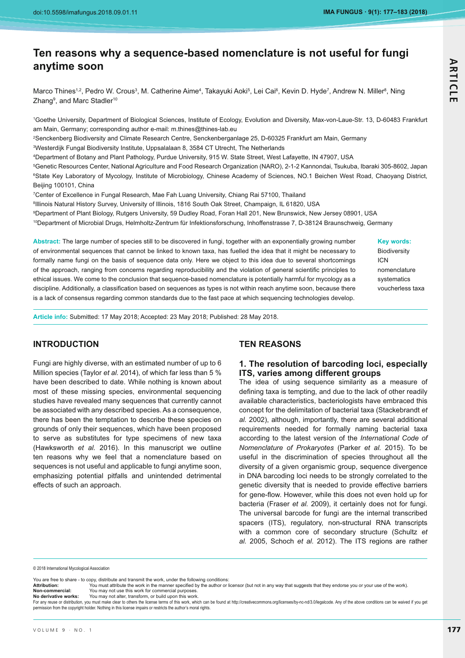**Key words:**  Biodiversity ICN

nomenclature systematics voucherless taxa

# **Ten reasons why a sequence-based nomenclature is not useful for fungi anytime soon**

Marco Thines1<sup>,2</sup>, Pedro W. Crous<sup>3</sup>, M. Catherine Aime<sup>4</sup>, Takayuki Aoki<sup>5</sup>, Lei Cai<sup>6</sup>, Kevin D. Hyde<sup>7</sup>, Andrew N. Miller<sup>8</sup>, Ning Zhang<sup>9</sup>, and Marc Stadler<sup>10</sup>

1 Goethe University, Department of Biological Sciences, Institute of Ecology, Evolution and Diversity, Max-von-Laue-Str. 13, D-60483 Frankfurt am Main, Germany; corresponding author e-mail: m.thines@thines-lab.eu

2 Senckenberg Biodiversity and Climate Research Centre, Senckenberganlage 25, D-60325 Frankfurt am Main, Germany

3 Westerdijk Fungal Biodiversity Institute, Uppsalalaan 8, 3584 CT Utrecht, The Netherlands

4 Department of Botany and Plant Pathology, Purdue University, 915 W. State Street, West Lafayette, IN 47907, USA

5 Genetic Resources Center, National Agriculture and Food Research Organization (NARO), 2-1-2 Kannondai, Tsukuba, Ibaraki 305-8602, Japan 6 State Key Laboratory of Mycology, Institute of Microbiology, Chinese Academy of Sciences, NO.1 Beichen West Road, Chaoyang District, Beijing 100101, China

 Center of Excellence in Fungal Research, Mae Fah Luang University, Chiang Rai 57100, Thailand Illinois Natural History Survey, University of Illinois, 1816 South Oak Street, Champaign, IL 61820, USA Department of Plant Biology, Rutgers University, 59 Dudley Road, Foran Hall 201, New Brunswick, New Jersey 08901, USA 10Department of Microbial Drugs, Helmholtz-Zentrum für Infektionsforschung, Inhoffenstrasse 7, D-38124 Braunschweig, Germany

**Abstract:** The large number of species still to be discovered in fungi, together with an exponentially growing number of environmental sequences that cannot be linked to known taxa, has fuelled the idea that it might be necessary to formally name fungi on the basis of sequence data only. Here we object to this idea due to several shortcomings of the approach, ranging from concerns regarding reproducibility and the violation of general scientific principles to ethical issues. We come to the conclusion that sequence-based nomenclature is potentially harmful for mycology as a discipline. Additionally, a classification based on sequences as types is not within reach anytime soon, because there is a lack of consensus regarding common standards due to the fast pace at which sequencing technologies develop.

**Article info:** Submitted: 17 May 2018; Accepted: 23 May 2018; Published: 28 May 2018.

## **INTRODUCTION**

Fungi are highly diverse, with an estimated number of up to 6 Million species (Taylor *et al.* 2014), of which far less than 5 % have been described to date. While nothing is known about most of these missing species, environmental sequencing studies have revealed many sequences that currently cannot be associated with any described species. As a consequence, there has been the temptation to describe these species on grounds of only their sequences, which have been proposed to serve as substitutes for type specimens of new taxa (Hawksworth *et al.* 2016). In this manuscript we outline ten reasons why we feel that a nomenclature based on sequences is not useful and applicable to fungi anytime soon, emphasizing potential pitfalls and unintended detrimental effects of such an approach.

## **TEN REASONS**

#### **1. The resolution of barcoding loci, especially ITS, varies among different groups**

The idea of using sequence similarity as a measure of defining taxa is tempting, and due to the lack of other readily available characteristics, bacteriologists have embraced this concept for the delimitation of bacterial taxa (Stackebrandt *et al.* 2002), although, importantly, there are several additional requirements needed for formally naming bacterial taxa according to the latest version of the *International Code of Nomenclature of Prokaryotes* (Parker *et al.* 2015). To be useful in the discrimination of species throughout all the diversity of a given organismic group, sequence divergence in DNA barcoding loci needs to be strongly correlated to the genetic diversity that is needed to provide effective barriers for gene-flow. However, while this does not even hold up for bacteria (Fraser *et al.* 2009), it certainly does not for fungi. The universal barcode for fungi are the internal transcribed spacers (ITS), regulatory, non-structural RNA transcripts with a common core of secondary structure (Schultz *et al.* 2005, Schoch *et al.* 2012). The ITS regions are rather

© 2018 International Mycological Association

You are free to share - to copy, distribute and transmit the work, under the following conditions:

**Attribution:**-You must attribute the work in the manner specified by the author or licensor (but not in any way that suggests that they endorse you or your use of the work). **Non-commercial:**-

You may not use this work for commercial purposes.

Non-commercial:<br>No derivative works: You may not alter, transform, or build upon this work. -<br>For any reuse or distribution, you must make clear to others the license terms of this work, which can be found at http://creativecommons.org/licenses/by-nc-nd/3.0/legalcode. Any of the above conditions can be waived if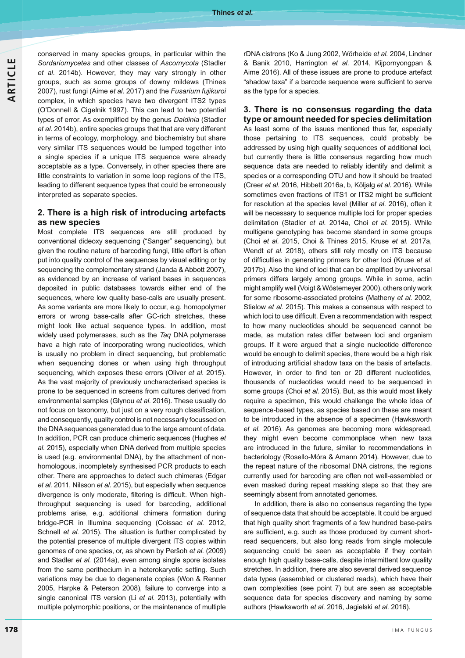conserved in many species groups, in particular within the *Sordariomycetes* and other classes of *Ascomycota* (Stadler *et al.* 2014b). However, they may vary strongly in other groups, such as some groups of downy mildews (Thines 2007), rust fungi (Aime *et al*. 2017) and the *Fusarium fujikuroi* complex, in which species have two divergent ITS2 types (O'Donnell & Cigelnik 1997). This can lead to two potential types of error. As exemplified by the genus *Daldinia* (Stadler *et al.* 2014b), entire species groups that that are very different in terms of ecology, morphology, and biochemistry but share very similar ITS sequences would be lumped together into a single species if a unique ITS sequence were already acceptable as a type. Conversely, in other species there are little constraints to variation in some loop regions of the ITS, leading to different sequence types that could be erroneously interpreted as separate species.

## **2. There is a high risk of introducing artefacts as new species**

Most complete ITS sequences are still produced by conventional dideoxy sequencing ("Sanger" sequencing), but given the routine nature of barcoding fungi, little effort is often put into quality control of the sequences by visual editing or by sequencing the complementary strand (Janda & Abbott 2007), as evidenced by an increase of variant bases in sequences deposited in public databases towards either end of the sequences, where low quality base-calls are usually present. As some variants are more likely to occur, e.g. homopolymer errors or wrong base-calls after GC-rich stretches, these might look like actual sequence types. In addition, most widely used polymerases, such as the *Taq* DNA polymerase have a high rate of incorporating wrong nucleotides, which is usually no problem in direct sequencing, but problematic when sequencing clones or when using high throughput sequencing, which exposes these errors (Oliver *et al.* 2015). As the vast majority of previously uncharacterised species is prone to be sequenced in screens from cultures derived from environmental samples (Glynou *et al.* 2016). These usually do not focus on taxonomy, but just on a very rough classification, and consequently, quality control is not necessarily focussed on the DNA sequences generated due to the large amount of data. In addition, PCR can produce chimeric sequences (Hughes *et al*. 2015), especially when DNA derived from multiple species is used (e.g. environmental DNA), by the attachment of nonhomologous, incompletely synthesised PCR products to each other. There are approaches to detect such chimeras (Edgar *et al.* 2011, Nilsson *et al.* 2015), but especially when sequence divergence is only moderate, filtering is difficult. When highthroughput sequencing is used for barcoding, additional problems arise, e.g. additional chimera formation during bridge-PCR in Illumina sequencing (Coissac *et al.* 2012, Schnell *et al.* 2015). The situation is further complicated by the potential presence of multiple divergent ITS copies within genomes of one species, or, as shown by Peršoh et al. (2009) and Stadler *et al.* (2014a), even among single spore isolates from the same perithecium in a heterokaryotic setting. Such variations may be due to degenerate copies (Won & Renner 2005, Harpke & Peterson 2008), failure to converge into a single canonical ITS version (Li *et al.* 2013), potentially with multiple polymorphic positions, or the maintenance of multiple

rDNA cistrons (Ko & Jung 2002, Wörheide *et al.* 2004, Lindner & Banik 2010, Harrington *et al.* 2014, Kijpornyongpan & Aime 2016). All of these issues are prone to produce artefact "shadow taxa" if a barcode sequence were sufficient to serve as the type for a species.

## **3. There is no consensus regarding the data type or amount needed for species delimitation**

As least some of the issues mentioned thus far, especially those pertaining to ITS sequences, could probably be addressed by using high quality sequences of additional loci, but currently there is little consensus regarding how much sequence data are needed to reliably identify and delimit a species or a corresponding OTU and how it should be treated (Creer *et al.* 2016, Hibbett 2016a, b, Kõljalg *et al.* 2016). While sometimes even fractions of ITS1 or ITS2 might be sufficient for resolution at the species level (Miller *et al.* 2016), often it will be necessary to sequence multiple loci for proper species delimitation (Stadler *et al.* 2014a, Choi *et al.* 2015). While multigene genotyping has become standard in some groups (Choi *et al.* 2015, Choi & Thines 2015, Kruse *et al.* 2017a, Wendt *et al.* 2018), others still rely mostly on ITS because of difficulties in generating primers for other loci (Kruse et al. 2017b). Also the kind of loci that can be amplified by universal primers differs largely among groups. While in some, actin might amplify well (Voigt & Wöstemeyer 2000), others only work for some ribosome-associated proteins (Matheny *et al.* 2002, Stielow *et al.* 2015). This makes a consensus with respect to which loci to use difficult. Even a recommendation with respect to how many nucleotides should be sequenced cannot be made, as mutation rates differ between loci and organism groups. If it were argued that a single nucleotide difference would be enough to delimit species, there would be a high risk of introducing artificial shadow taxa on the basis of artefacts. However, in order to find ten or 20 different nucleotides, thousands of nucleotides would need to be sequenced in some groups (Choi *et al.* 2015). But, as this would most likely require a specimen, this would challenge the whole idea of sequence-based types, as species based on these are meant to be introduced in the absence of a specimen (Hawksworth *et al.* 2016). As genomes are becoming more widespread, they might even become commonplace when new taxa are introduced in the future, similar to recommendations in bacteriology (Rosello-Móra & Amann 2014). However, due to the repeat nature of the ribosomal DNA cistrons, the regions currently used for barcoding are often not well-assembled or even masked during repeat masking steps so that they are seemingly absent from annotated genomes.

In addition, there is also no consensus regarding the type of sequence data that should be acceptable. It could be argued that high quality short fragments of a few hundred base-pairs are sufficient, e.g. such as those produced by current shortread sequencers, but also long reads from single molecule sequencing could be seen as acceptable if they contain enough high quality base-calls, despite intermittent low quality stretches. In addition, there are also several derived sequence data types (assembled or clustered reads), which have their own complexities (see point 7) but are seen as acceptable sequence data for species discovery and naming by some authors (Hawksworth *et al.* 2016, Jagielski *et al.* 2016).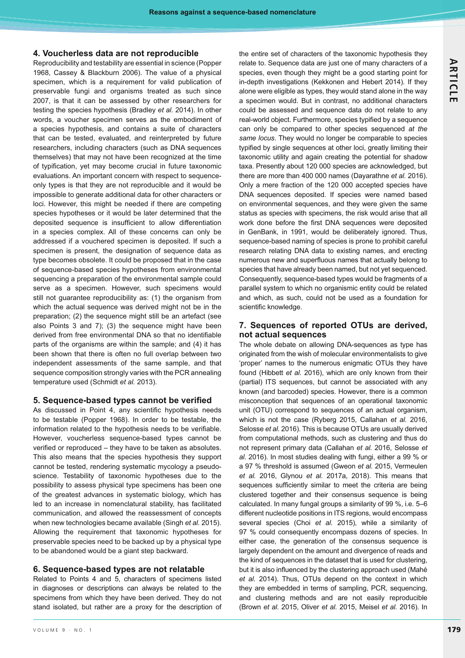#### **4. Voucherless data are not reproducible**

Reproducibility and testability are essential in science (Popper 1968, Cassey & Blackburn 2006). The value of a physical specimen, which is a requirement for valid publication of preservable fungi and organisms treated as such since 2007, is that it can be assessed by other researchers for testing the species hypothesis (Bradley *et al.* 2014). In other words, a voucher specimen serves as the embodiment of a species hypothesis, and contains a suite of characters that can be tested, evaluated, and reinterpreted by future researchers, including characters (such as DNA sequences themselves) that may not have been recognized at the time of typification, yet may become crucial in future taxonomic evaluations. An important concern with respect to sequenceonly types is that they are not reproducible and it would be impossible to generate additional data for other characters or loci. However, this might be needed if there are competing species hypotheses or it would be later determined that the deposited sequence is insufficient to allow differentiation in a species complex. All of these concerns can only be addressed if a vouchered specimen is deposited. If such a specimen is present, the designation of sequence data as type becomes obsolete. It could be proposed that in the case of sequence-based species hypotheses from environmental sequencing a preparation of the environmental sample could serve as a specimen. However, such specimens would still not guarantee reproducibility as: (1) the organism from which the actual sequence was derived might not be in the preparation; (2) the sequence might still be an artefact (see also Points 3 and 7); (3) the sequence might have been derived from free environmental DNA so that no identifiable parts of the organisms are within the sample; and (4) it has been shown that there is often no full overlap between two independent assessments of the same sample, and that sequence composition strongly varies with the PCR annealing temperature used (Schmidt *et al.* 2013).

#### 5. Sequence-based types cannot be verified

As discussed in Point 4, any scientific hypothesis needs to be testable (Popper 1968). In order to be testable, the information related to the hypothesis needs to be verifiable. However, voucherless sequence-based types cannot be verified or reproduced – they have to be taken as absolutes. This also means that the species hypothesis they support cannot be tested, rendering systematic mycology a pseudoscience. Testability of taxonomic hypotheses due to the possibility to assess physical type specimens has been one of the greatest advances in systematic biology, which has led to an increase in nomenclatural stability, has facilitated communication, and allowed the reassessment of concepts when new technologies became available (Singh *et al.* 2015). Allowing the requirement that taxonomic hypotheses for preservable species need to be backed up by a physical type to be abandoned would be a giant step backward.

#### **6. Sequence-based types are not relatable**

Related to Points 4 and 5, characters of specimens listed in diagnoses or descriptions can always be related to the specimens from which they have been derived. They do not stand isolated, but rather are a proxy for the description of

the entire set of characters of the taxonomic hypothesis they relate to. Sequence data are just one of many characters of a species, even though they might be a good starting point for in-depth investigations (Kekkonen and Hebert 2014). If they alone were eligible as types, they would stand alone in the way a specimen would. But in contrast, no additional characters could be assessed and sequence data do not relate to any real-world object. Furthermore, species typified by a sequence can only be compared to other species sequenced *at the same locus*. They would no longer be comparable to species typified by single sequences at other loci, greatly limiting their taxonomic utility and again creating the potential for shadow taxa. Presently about 120 000 species are acknowledged, but there are more than 400 000 names (Dayarathne *et al.* 2016). Only a mere fraction of the 120 000 accepted species have DNA sequences deposited. If species were named based on environmental sequences, and they were given the same status as species with specimens, the risk would arise that all work done before the first DNA sequences were deposited in GenBank, in 1991, would be deliberately ignored. Thus, sequence-based naming of species is prone to prohibit careful research relating DNA data to existing names, and erecting numerous new and superfluous names that actually belong to species that have already been named, but not yet sequenced. Consequently, sequence-based types would be fragments of a parallel system to which no organismic entity could be related and which, as such, could not be used as a foundation for scientific knowledge.

#### **7. Sequences of reported OTUs are derived, not actual sequences**

The whole debate on allowing DNA-sequences as type has originated from the wish of molecular environmentalists to give 'proper' names to the numerous enigmatic OTUs they have found (Hibbett *et al.* 2016), which are only known from their (partial) ITS sequences, but cannot be associated with any known (and barcoded) species. However, there is a common misconception that sequences of an operational taxonomic unit (OTU) correspond to sequences of an actual organism, which is not the case (Ryberg 2015, Callahan *et al.* 2016, Selosse *et al.* 2016). This is because OTUs are usually derived from computational methods, such as clustering and thus do not represent primary data (Callahan *et al.* 2016, Selosse *et al.* 2016). In most studies dealing with fungi, either a 99 % or a 97 % threshold is assumed (Gweon *et al.* 2015, Vermeulen *et al.* 2016, Glynou *et al.* 2017a, 2018). This means that sequences sufficiently similar to meet the criteria are being clustered together and their consensus sequence is being calculated. In many fungal groups a similarity of 99 %, i.e. 5–6 different nucleotide positions in ITS regions, would encompass several species (Choi *et al.* 2015), while a similarity of 97 % could consequently encompass dozens of species. In either case, the generation of the consensus sequence is largely dependent on the amount and divergence of reads and the kind of sequences in the dataset that is used for clustering, but it is also influenced by the clustering approach used (Mahé *et al.* 2014). Thus, OTUs depend on the context in which they are embedded in terms of sampling, PCR, sequencing, and clustering methods and are not easily reproducible (Brown *et al.* 2015, Oliver *et al.* 2015, Meisel *et al.* 2016). In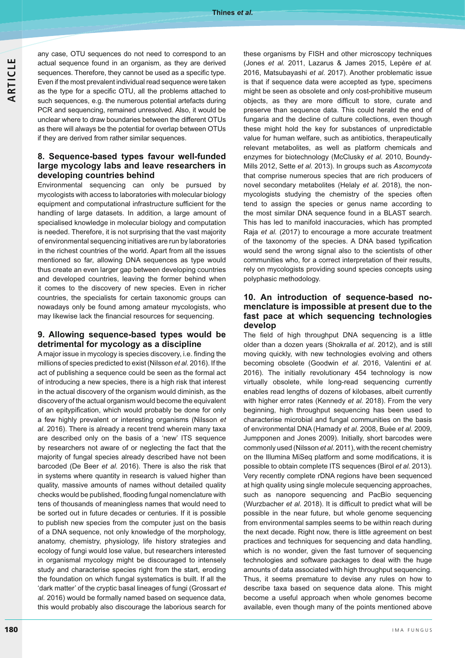any case, OTU sequences do not need to correspond to an actual sequence found in an organism, as they are derived sequences. Therefore, they cannot be used as a specific type. Even if the most prevalent individual read sequence were taken as the type for a specific OTU, all the problems attached to such sequences, e.g. the numerous potential artefacts during PCR and sequencing, remained unresolved. Also, it would be unclear where to draw boundaries between the different OTUs as there will always be the potential for overlap between OTUs if they are derived from rather similar sequences.

## **8. Sequence-based types favour well-funded large mycology labs and leave researchers in developing countries behind**

Environmental sequencing can only be pursued by mycologists with access to laboratories with molecular biology equipment and computational infrastructure sufficient for the handling of large datasets. In addition, a large amount of specialised knowledge in molecular biology and computation is needed. Therefore, it is not surprising that the vast majority of environmental sequencing initiatives are run by laboratories in the richest countries of the world. Apart from all the issues mentioned so far, allowing DNA sequences as type would thus create an even larger gap between developing countries and developed countries, leaving the former behind when it comes to the discovery of new species. Even in richer countries, the specialists for certain taxonomic groups can nowadays only be found among amateur mycologists, who may likewise lack the financial resources for sequencing.

## **9. Allowing sequence-based types would be detrimental for mycology as a discipline**

A major issue in mycology is species discovery, i.e. finding the millions of species predicted to exist (Nilsson *et al.* 2016). If the act of publishing a sequence could be seen as the formal act of introducing a new species, there is a high risk that interest in the actual discovery of the organism would diminish, as the discovery of the actual organism would become the equivalent of an epitypification, which would probably be done for only a few highly prevalent or interesting organisms (Nilsson *et al.* 2016). There is already a recent trend wherein many taxa are described only on the basis of a 'new' ITS sequence by researchers not aware of or neglecting the fact that the majority of fungal species already described have not been barcoded (De Beer *et al.* 2016). There is also the risk that in systems where quantity in research is valued higher than quality, massive amounts of names without detailed quality checks would be published, flooding fungal nomenclature with tens of thousands of meaningless names that would need to be sorted out in future decades or centuries. If it is possible to publish new species from the computer just on the basis of a DNA sequence, not only knowledge of the morphology, anatomy, chemistry, physiology, life history strategies and ecology of fungi would lose value, but researchers interested in organismal mycology might be discouraged to intensely study and characterise species right from the start, eroding the foundation on which fungal systematics is built. If all the 'dark matter' of the cryptic basal lineages of fungi (Grossart *et al.* 2016) would be formally named based on sequence data, this would probably also discourage the laborious search for

these organisms by FISH and other microscopy techniques (Jones *et al.* 2011, Lazarus & James 2015, Lepère *et al.* 2016, Matsubayashi *et al.* 2017). Another problematic issue is that if sequence data were accepted as type, specimens might be seen as obsolete and only cost-prohibitive museum objects, as they are more difficult to store, curate and preserve than sequence data. This could herald the end of fungaria and the decline of culture collections, even though these might hold the key for substances of unpredictable value for human welfare, such as antibiotics, therapeutically relevant metabolites, as well as platform chemicals and enzymes for biotechnology (McClusky *et al.* 2010, Boundy-Mills 2012, Sette *et al.* 2013). In groups such as *Ascomycota* that comprise numerous species that are rich producers of novel secondary metabolites (Helaly *et al.* 2018), the nonmycologists studying the chemistry of the species often tend to assign the species or genus name according to the most similar DNA sequence found in a BLAST search. This has led to manifold inaccuracies, which has prompted Raja *et al.* (2017) to encourage a more accurate treatment of the taxonomy of the species. A DNA based typification would send the wrong signal also to the scientists of other communities who, for a correct interpretation of their results, rely on mycologists providing sound species concepts using polyphasic methodology.

## **10. An introduction of sequence-based nomenclature is impossible at present due to the fast pace at which sequencing technologies develop**

The field of high throughput DNA sequencing is a little older than a dozen years (Shokralla *et al.* 2012), and is still moving quickly, with new technologies evolving and others becoming obsolete (Goodwin *et al.* 2016, Valentini *et al.* 2016). The initially revolutionary 454 technology is now virtually obsolete, while long-read sequencing currently enables read lengths of dozens of kilobases, albeit currently with higher error rates (Kennedy *et al.* 2018). From the very beginning, high throughput sequencing has been used to characterise microbial and fungal communities on the basis of environmental DNA (Hamady *et al.* 2008, Buée *et al.* 2009, Jumpponen and Jones 2009). Initially, short barcodes were commonly used (Nilsson *et al.* 2011), with the recent chemistry on the Illumina MiSeq platform and some modifications, it is possible to obtain complete ITS sequences (Birol *et al.* 2013). Very recently complete rDNA regions have been sequenced at high quality using single molecule sequencing approaches. such as nanopore sequencing and PacBio sequencing (Wurzbacher et al. 2018). It is difficult to predict what will be possible in the near future, but whole genome sequencing from environmental samples seems to be within reach during the next decade. Right now, there is little agreement on best practices and techniques for sequencing and data handling, which is no wonder, given the fast turnover of sequencing technologies and software packages to deal with the huge amounts of data associated with high throughput sequencing. Thus, it seems premature to devise any rules on how to describe taxa based on sequence data alone. This might become a useful approach when whole genomes become available, even though many of the points mentioned above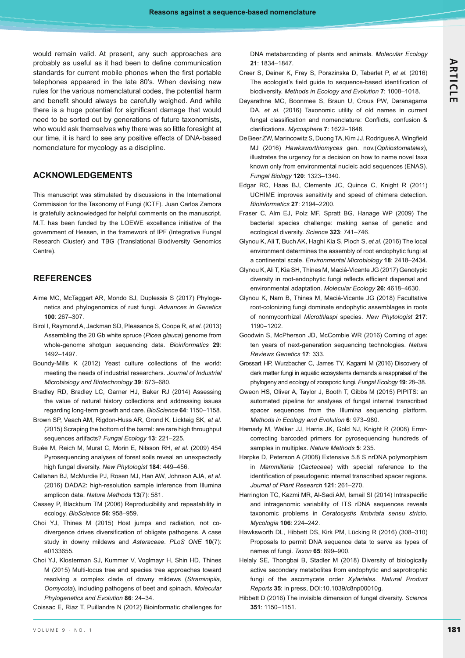would remain valid. At present, any such approaches are probably as useful as it had been to define communication standards for current mobile phones when the first portable telephones appeared in the late 80's. When devising new rules for the various nomenclatural codes, the potential harm and benefit should always be carefully weighed. And while there is a huge potential for significant damage that would need to be sorted out by generations of future taxonomists, who would ask themselves why there was so little foresight at our time, it is hard to see any positive effects of DNA-based nomenclature for mycology as a discipline.

# **ACKNOWLEDGEMENTS**

This manuscript was stimulated by discussions in the International Commission for the Taxonomy of Fungi (ICTF). Juan Carlos Zamora is gratefully acknowledged for helpful comments on the manuscript. M.T. has been funded by the LOEWE excellence initiative of the government of Hessen, in the framework of IPF (Integrative Fungal Research Cluster) and TBG (Translational Biodiversity Genomics Centre).

# **REFERENCES**

- Aime MC, McTaggart AR, Mondo SJ, Duplessis S (2017) Phylogenetics and phylogenomics of rust fungi. *Advances in Genetics*  **100**: 267–307.
- Birol I, Raymond A, Jackman SD, Pleasance S, Coope R, *et al.* (2013) Assembling the 20 Gb white spruce (*Picea glauca*) genome from whole-genome shotgun sequencing data. *Bioinformatics* **29**: 1492–1497.
- Boundy-Mills K (2012) Yeast culture collections of the world: meeting the needs of industrial researchers. *Journal of Industrial Microbiology and Biotechnology* **39**: 673–680.
- Bradley RD, Bradley LC, Garner HJ, Baker RJ (2014) Assessing the value of natural history collections and addressing issues regarding long-term growth and care. *BioScience* **64**: 1150–1158.
- Brown SP, Veach AM, Rigdon-Huss AR, Grond K, Lickteig SK, *et al.* (2015) Scraping the bottom of the barrel: are rare high throughput sequences artifacts? *Fungal Ecology* **13**: 221–225.
- Buée M, Reich M, Murat C, Morin E, Nilsson RH, *et al.* (2009) 454 Pyrosequencing analyses of forest soils reveal an unexpectedly high fungal diversity. *New Phytologist* **184**: 449–456.
- Callahan BJ, McMurdie PJ, Rosen MJ, Han AW, Johnson AJA, *et al*. (2016) DADA2: high-resolution sample inference from Illumina amplicon data. *Nature Methods* **13**(7): 581.
- Cassey P, Blackburn TM (2006) Reproducibility and repeatability in ecology. *BioScience* **56**: 958–959.
- Choi YJ, Thines M (2015) Host jumps and radiation, not codivergence drives diversification of obligate pathogens. A case study in downy mildews and *Asteraceae*. *PLoS ONE* **10**(7): e0133655.
- Choi YJ, Klosterman SJ, Kummer V, Voglmayr H, Shin HD, Thines M (2015) Multi-locus tree and species tree approaches toward resolving a complex clade of downy mildews (*Straminipila*, *Oomycota*), including pathogens of beet and spinach. *Molecular Phylogenetics and Evolution* **86**: 24–34.

Coissac E, Riaz T, Puillandre N (2012) Bioinformatic challenges for

DNA metabarcoding of plants and animals. *Molecular Ecology* **21**: 1834–1847.

- Creer S, Deiner K, Frey S, Porazinska D, Taberlet P, *et al.* (2016) The ecologist's field guide to sequence-based identification of biodiversity. *Methods in Ecology and Evolution* **7**: 1008–1018.
- Dayarathne MC, Boonmee S, Braun U, Crous PW, Daranagama DA, *et al.* (2016) Taxonomic utility of old names in current fungal classification and nomenclature: Conflicts, confusion & -*Mycosphere* **7**: 1622–1648.
- De Beer ZW, Marincowitz S, Duong TA, Kim JJ, Rodrigues A, Wingfield MJ (2016) *Hawksworthiomyces* gen. nov.(*Ophiostomatales*), illustrates the urgency for a decision on how to name novel taxa known only from environmental nucleic acid sequences (ENAS). *Fungal Biology* **120**: 1323–1340.
- Edgar RC, Haas BJ, Clemente JC, Quince C, Knight R (2011) UCHIME improves sensitivity and speed of chimera detection. *Bioinformatics* **27**: 2194–2200.
- Fraser C, Alm EJ, Polz MF, Spratt BG, Hanage WP (2009) The bacterial species challenge: making sense of genetic and ecological diversity. *Science* **323**: 741–746.
- Glynou K, Ali T, Buch AK, Haghi Kia S, Ploch S, *et al.* (2016) The local environment determines the assembly of root endophytic fungi at a continental scale. *Environmental Microbiology* **18**: 2418–2434.
- Glynou K, Ali T, Kia SH, Thines M, Maciá-Vicente JG (2017) Genotypic diversity in root-endophytic fungi reflects efficient dispersal and environmental adaptation. *Molecular Ecology* **26**: 4618–4630.
- Glynou K, Nam B, Thines M, Maciá-Vicente JG (2018) Facultative root-colonizing fungi dominate endophytic assemblages in roots of nonmycorrhizal *Microthlaspi* species. *New Phytologist* **217**: 1190–1202.
- Goodwin S, McPherson JD, McCombie WR (2016) Coming of age: ten years of next-generation sequencing technologies. *Nature Reviews Genetics* **17**: 333.
- Grossart HP, Wurzbacher C, James TY, Kagami M (2016) Discovery of dark matter fungi in aquatic ecosystems demands a reappraisal of the phylogeny and ecology of zoosporic fungi. *Fungal Ecology* **19**: 28–38.
- Gweon HS, Oliver A, Taylor J, Booth T, Gibbs M (2015) PIPITS: an automated pipeline for analyses of fungal internal transcribed spacer sequences from the Illumina sequencing platform. *Methods in Ecology and Evolution* **6**: 973–980.
- Hamady M, Walker JJ, Harris JK, Gold NJ, Knight R (2008) Errorcorrecting barcoded primers for pyrosequencing hundreds of samples in multiplex. *Nature Methods* **5**: 235.
- Harpke D, Peterson A (2008) Extensive 5.8 S nrDNA polymorphism in *Mammillaria* (*Cactaceae*) with special reference to the identification of pseudogenic internal transcribed spacer regions. *Journal of Plant Research* **121**: 261–270.
- Harrington TC, Kazmi MR, Al-Sadi AM, Ismail SI (2014) Intraspecific and intragenomic variability of ITS rDNA sequences reveals taxonomic problems in *Ceratocystis fimbriata sensu stricto*. *Mycologia* **106**: 224–242.
- Hawksworth DL, Hibbett DS, Kirk PM, Lücking R (2016) (308–310) Proposals to permit DNA sequence data to serve as types of names of fungi. *Taxon* **65**: 899–900.
- Helaly SE, Thongbai B, Stadler M (2018) Diversity of biologically active secondary metabolites from endophytic and saprotrophic fungi of the ascomycete order *Xylariales*. *Natural Product Reports* **35**: in press, DOI:10.1039/c8np00010g.
- Hibbett D (2016) The invisible dimension of fungal diversity. *Science* **351**: 1150–1151.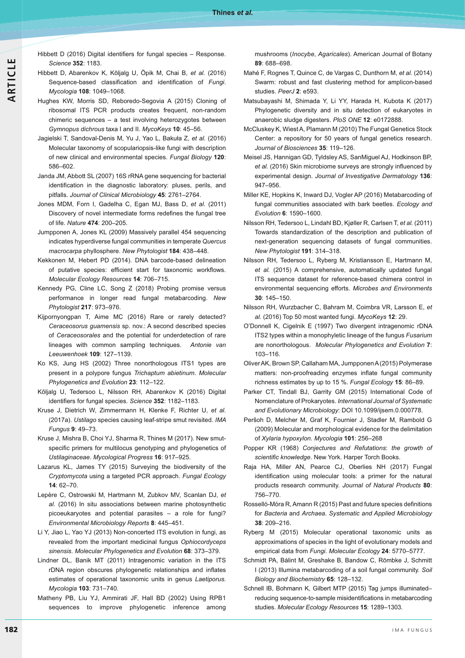- Hibbett D (2016) Digital identifiers for fungal species Response. *Science* **352**: 1183.
- Hibbett D, Abarenkov K, Kõljalg U, Öpik M, Chai B, *et al.* (2016) Sequence-based classification and identification of Fungi. *Mycologia* **108**: 1049–1068.
- Hughes KW, Morris SD, Reboredo-Segovia A (2015) Cloning of ribosomal ITS PCR products creates frequent, non-random chimeric sequences – a test involving heterozygotes between *Gymnopus dichrous* taxa I and II. *MycoKeys* **10**: 45–56.
- Jagielski T, Sandoval-Denis M, Yu J, Yao L, Bakuła Z, et al. (2016) Molecular taxonomy of scopulariopsis-like fungi with description of new clinical and environmental species. *Fungal Biology* **120**: 586–602.
- Janda JM, Abbott SL (2007) 16S rRNA gene sequencing for bacterial identification in the diagnostic laboratory: pluses, perils, and pitfalls. *Journal of Clinical Microbiology* **45**: 2761–2764.
- Jones MDM, Forn I, Gadelha C, Egan MJ, Bass D, *et al*. (2011) Discovery of novel intermediate forms redefines the fungal tree of life. *Nature* **474**: 200–205.
- Jumpponen A, Jones KL (2009) Massively parallel 454 sequencing indicates hyperdiverse fungal communities in temperate *Quercus macrocarpa* phyllosphere. *New Phytologist* **184**: 438–448.
- Kekkonen M, Hebert PD (2014). DNA barcode-based delineation of putative species: efficient start for taxonomic workflows. *Molecular Ecology Resources* **14**: 706–715.
- Kennedy PG, Cline LC, Song Z (2018) Probing promise versus performance in longer read fungal metabarcoding. *New Phytologist* **217**: 973–976.
- Kijpornyongpan T, Aime MC (2016) Rare or rarely detected? *Ceraceosorus guamensis* sp. nov.: A second described species of *Ceraceosorales* and the potential for underdetection of rare lineages with common sampling techniques. *Antonie van Leeuwenhoek* **109**: 127–1139.
- Ko KS, Jung HS (2002) Three nonorthologous ITS1 types are present in a polypore fungus *Trichaptum abietinum*. *Molecular Phylogenetics and Evolution* **23**: 112–122.
- Kõljalg U, Tedersoo L, Nilsson RH, Abarenkov K (2016) Digital identifiers for fungal species. Science 352: 1182-1183.
- Kruse J, Dietrich W, Zimmermann H, Klenke F, Richter U, *et al.* (2017a). Ustilago species causing leaf-stripe smut revisited. IMA *Fungus* **9**: 49–73.
- Kruse J, Mishra B, Choi YJ, Sharma R, Thines M (2017). New smut specific primers for multilocus genotyping and phylogenetics of *Ustilaginaceae*. *Mycological Progress* **16**: 917–925.
- Lazarus KL, James TY (2015) Surveying the biodiversity of the *Cryptomycota* using a targeted PCR approach. *Fungal Ecology* **14**: 62–70.
- Lepère C, Ostrowski M, Hartmann M, Zubkov MV, Scanlan DJ, *et al*. (2016) In situ associations between marine photosynthetic picoeukaryotes and potential parasites – a role for fungi? *Environmental Microbiology Reports* **8**: 445–451.
- Li Y, Jiao L, Yao YJ (2013) Non-concerted ITS evolution in fungi, as revealed from the important medicinal fungus *Ophiocordyceps sinensis*. *Molecular Phylogenetics and Evolution* **68**: 373–379.
- Lindner DL, Banik MT (2011) Intragenomic variation in the ITS rDNA region obscures phylogenetic relationships and inflates estimates of operational taxonomic units in genus *Laetiporus*. *Mycologia* **103**: 731–740.
- Matheny PB, Liu YJ, Ammirati JF, Hall BD (2002) Using RPB1 sequences to improve phylogenetic inference among

mushrooms (*Inocybe*, *Agaricales*). American Journal of Botany **89**: 688–698.

- Mahé F, Rognes T, Quince C, de Vargas C, Dunthorn M, *et al.* (2014) Swarm: robust and fast clustering method for amplicon-based studies. *PeerJ* **2**: e593.
- Matsubayashi M, Shimada Y, Li YY, Harada H, Kubota K (2017) Phylogenetic diversity and in situ detection of eukaryotes in anaerobic sludge digesters. *PloS ONE* **12**: e0172888.
- McCluskey K, Wiest A, Plamann M (2010) The Fungal Genetics Stock Center: a repository for 50 years of fungal genetics research. *Journal of Biosciences* **35**: 119–126.
- Meisel JS, Hannigan GD, Tyldsley AS, SanMiguel AJ, Hodkinson BP, et al. (2016) Skin microbiome surveys are strongly influenced by experimental design. Journal of Investigative Dermatology 136: 947–956.
- Miller KE, Hopkins K, Inward DJ, Vogler AP (2016) Metabarcoding of fungal communities associated with bark beetles. *Ecology and Evolution* **6**: 1590–1600.
- Nilsson RH, Tedersoo L, Lindahl BD, Kjøller R, Carlsen T, *et al.* (2011) Towards standardization of the description and publication of next-generation sequencing datasets of fungal communities. *New Phytologist* **191**: 314–318.
- Nilsson RH, Tedersoo L, Ryberg M, Kristiansson E, Hartmann M, *et al.* (2015) A comprehensive, automatically updated fungal ITS sequence dataset for reference-based chimera control in environmental sequencing efforts. *Microbes and Environments* **30**: 145–150.
- Nilsson RH, Wurzbacher C, Bahram M, Coimbra VR, Larsson E, *et al.* (2016) Top 50 most wanted fungi. *MycoKeys* **12**: 29.
- O'Donnell K, Cigelnik E (1997) Two divergent intragenomic rDNA ITS2 types within a monophyletic lineage of the fungus *Fusarium* are nonorthologous. *Molecular Phylogenetics and Evolution* **7**: 103–116.
- Oliver AK, Brown SP, Callaham MA, Jumpponen A (2015) Polymerase matters: non-proofreading enzymes inflate fungal community richness estimates by up to 15 %. *Fungal Ecology* **15**: 86–89.
- Parker CT, Tindall BJ, Garrity GM (2015) International Code of Nomenclature of Prokaryotes. *International Journal of Systematic and Evolutionary Microbiology*: DOI 10.1099/ijsem.0.000778.
- Peršoh D, Melcher M, Graf K, Fournier J, Stadler M, Rambold G (2009) Molecular and morphological evidence for the delimitation of *Xylaria hypoxylon*. *Mycologia* **101**: 256–268
- Popper KR (1968) *Conjectures and Refutations*: *the growth of*  scientific knowledge. New York. Harper Torch Books.
- Raja HA, Miller AN, Pearce CJ, Oberlies NH (2017) Fungal identification using molecular tools: a primer for the natural products research community. *Journal of Natural Products* **80**: 756–770.
- Rosselló-Móra R, Amann R (2015) Past and future species definitions for *Bacteria* and *Archaea*. *Systematic and Applied Microbiology* **38**: 209–216.
- Ryberg M (2015) Molecular operational taxonomic units as approximations of species in the light of evolutionary models and empirical data from *Fungi*. *Molecular Ecology* **24**: 5770–5777.
- Schmidt PA, Bálint M, Greshake B, Bandow C, Römbke J, Schmitt I (2013) Illumina metabarcoding of a soil fungal community. *Soil Biology and Biochemistry* **65**: 128–132.
- Schnell IB, Bohmann K, Gilbert MTP (2015) Tag jumps illuminated– reducing sequence-to-sample misidentifications in metabarcoding studies. *Molecular Ecology Resources* **15**: 1289–1303.